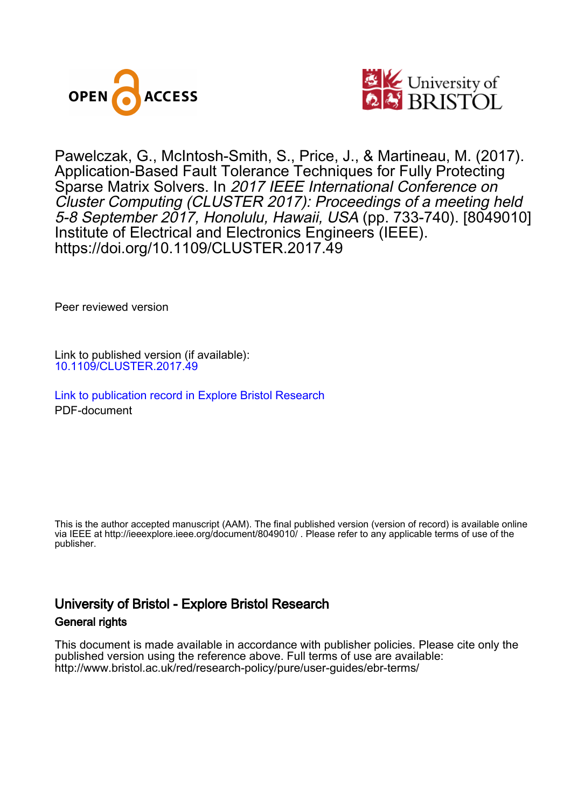



Pawelczak, G., McIntosh-Smith, S., Price, J., & Martineau, M. (2017). Application-Based Fault Tolerance Techniques for Fully Protecting Sparse Matrix Solvers. In 2017 IEEE International Conference on Cluster Computing (CLUSTER 2017): Proceedings of a meeting held 5-8 September 2017, Honolulu, Hawaii, USA (pp. 733-740). [8049010] Institute of Electrical and Electronics Engineers (IEEE). <https://doi.org/10.1109/CLUSTER.2017.49>

Peer reviewed version

Link to published version (if available): [10.1109/CLUSTER.2017.49](https://doi.org/10.1109/CLUSTER.2017.49)

[Link to publication record in Explore Bristol Research](https://research-information.bris.ac.uk/en/publications/fd1f0fdd-b0ae-4983-acfd-95c9329237d6) PDF-document

This is the author accepted manuscript (AAM). The final published version (version of record) is available online via IEEE at http://ieeexplore.ieee.org/document/8049010/. Please refer to any applicable terms of use of the publisher.

# University of Bristol - Explore Bristol Research General rights

This document is made available in accordance with publisher policies. Please cite only the published version using the reference above. Full terms of use are available: http://www.bristol.ac.uk/red/research-policy/pure/user-guides/ebr-terms/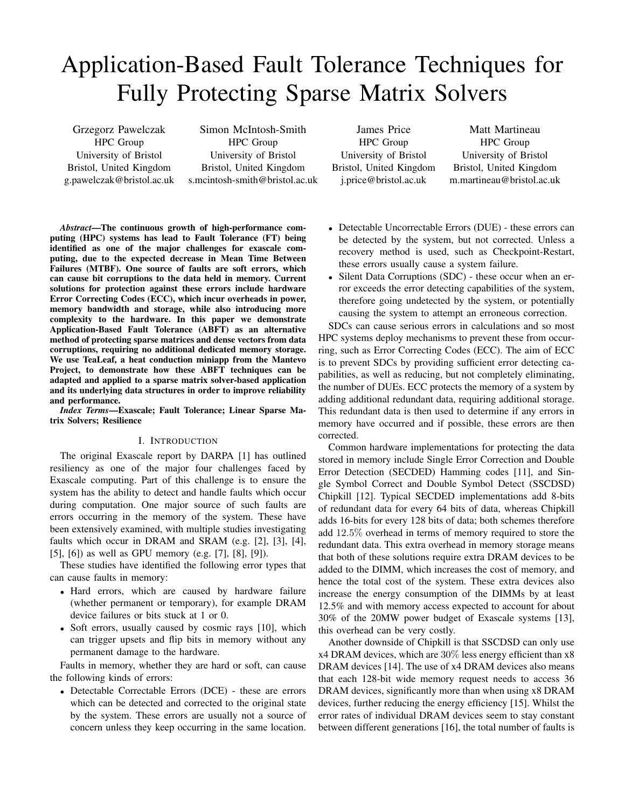# Application-Based Fault Tolerance Techniques for Fully Protecting Sparse Matrix Solvers

Grzegorz Pawelczak HPC Group University of Bristol Bristol, United Kingdom g.pawelczak@bristol.ac.uk

Simon McIntosh-Smith HPC Group University of Bristol Bristol, United Kingdom s.mcintosh-smith@bristol.ac.uk

James Price HPC Group University of Bristol Bristol, United Kingdom j.price@bristol.ac.uk

Matt Martineau HPC Group University of Bristol Bristol, United Kingdom m.martineau@bristol.ac.uk

*Abstract*—The continuous growth of high-performance computing (HPC) systems has lead to Fault Tolerance (FT) being identified as one of the major challenges for exascale computing, due to the expected decrease in Mean Time Between Failures (MTBF). One source of faults are soft errors, which can cause bit corruptions to the data held in memory. Current solutions for protection against these errors include hardware Error Correcting Codes (ECC), which incur overheads in power, memory bandwidth and storage, while also introducing more complexity to the hardware. In this paper we demonstrate Application-Based Fault Tolerance (ABFT) as an alternative method of protecting sparse matrices and dense vectors from data corruptions, requiring no additional dedicated memory storage. We use TeaLeaf, a heat conduction miniapp from the Mantevo Project, to demonstrate how these ABFT techniques can be adapted and applied to a sparse matrix solver-based application and its underlying data structures in order to improve reliability and performance.

*Index Terms*—Exascale; Fault Tolerance; Linear Sparse Matrix Solvers; Resilience

#### I. INTRODUCTION

The original Exascale report by DARPA [1] has outlined resiliency as one of the major four challenges faced by Exascale computing. Part of this challenge is to ensure the system has the ability to detect and handle faults which occur during computation. One major source of such faults are errors occurring in the memory of the system. These have been extensively examined, with multiple studies investigating faults which occur in DRAM and SRAM (e.g. [2], [3], [4], [5], [6]) as well as GPU memory (e.g. [7], [8], [9]).

These studies have identified the following error types that can cause faults in memory:

- Hard errors, which are caused by hardware failure (whether permanent or temporary), for example DRAM device failures or bits stuck at 1 or 0.
- Soft errors, usually caused by cosmic rays [10], which can trigger upsets and flip bits in memory without any permanent damage to the hardware.

Faults in memory, whether they are hard or soft, can cause the following kinds of errors:

• Detectable Correctable Errors (DCE) - these are errors which can be detected and corrected to the original state by the system. These errors are usually not a source of concern unless they keep occurring in the same location.

- Detectable Uncorrectable Errors (DUE) these errors can be detected by the system, but not corrected. Unless a recovery method is used, such as Checkpoint-Restart, these errors usually cause a system failure.
- Silent Data Corruptions (SDC) these occur when an error exceeds the error detecting capabilities of the system, therefore going undetected by the system, or potentially causing the system to attempt an erroneous correction.

SDCs can cause serious errors in calculations and so most HPC systems deploy mechanisms to prevent these from occurring, such as Error Correcting Codes (ECC). The aim of ECC is to prevent SDCs by providing sufficient error detecting capabilities, as well as reducing, but not completely eliminating, the number of DUEs. ECC protects the memory of a system by adding additional redundant data, requiring additional storage. This redundant data is then used to determine if any errors in memory have occurred and if possible, these errors are then corrected.

Common hardware implementations for protecting the data stored in memory include Single Error Correction and Double Error Detection (SECDED) Hamming codes [11], and Single Symbol Correct and Double Symbol Detect (SSCDSD) Chipkill [12]. Typical SECDED implementations add 8-bits of redundant data for every 64 bits of data, whereas Chipkill adds 16-bits for every 128 bits of data; both schemes therefore add 12.5% overhead in terms of memory required to store the redundant data. This extra overhead in memory storage means that both of these solutions require extra DRAM devices to be added to the DIMM, which increases the cost of memory, and hence the total cost of the system. These extra devices also increase the energy consumption of the DIMMs by at least 12.5% and with memory access expected to account for about 30% of the 20MW power budget of Exascale systems [13], this overhead can be very costly.

Another downside of Chipkill is that SSCDSD can only use  $x4$  DRAM devices, which are 30% less energy efficient than  $x8$ DRAM devices [14]. The use of x4 DRAM devices also means that each 128-bit wide memory request needs to access 36 DRAM devices, significantly more than when using x8 DRAM devices, further reducing the energy efficiency [15]. Whilst the error rates of individual DRAM devices seem to stay constant between different generations [16], the total number of faults is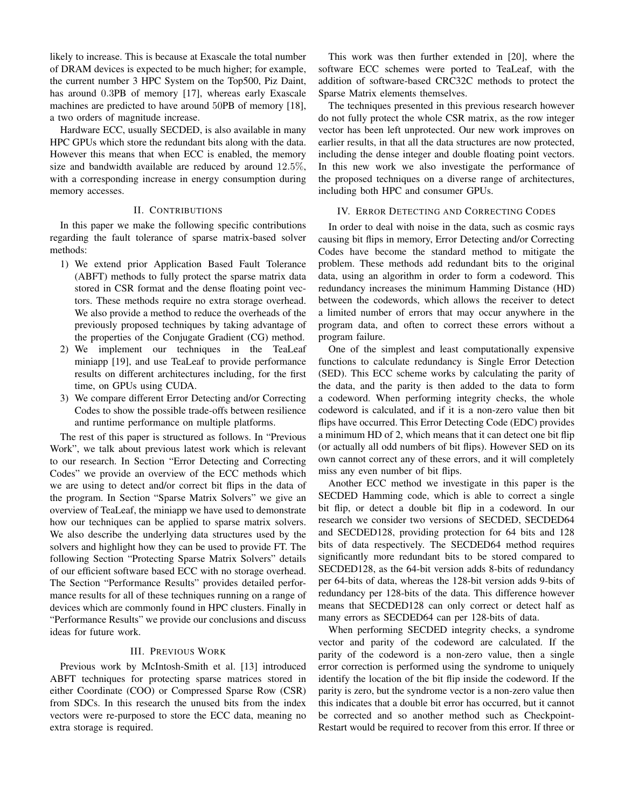likely to increase. This is because at Exascale the total number of DRAM devices is expected to be much higher; for example, the current number 3 HPC System on the Top500, Piz Daint, has around 0.3PB of memory [17], whereas early Exascale machines are predicted to have around 50PB of memory [18], a two orders of magnitude increase.

Hardware ECC, usually SECDED, is also available in many HPC GPUs which store the redundant bits along with the data. However this means that when ECC is enabled, the memory size and bandwidth available are reduced by around 12.5%, with a corresponding increase in energy consumption during memory accesses.

# II. CONTRIBUTIONS

In this paper we make the following specific contributions regarding the fault tolerance of sparse matrix-based solver methods:

- 1) We extend prior Application Based Fault Tolerance (ABFT) methods to fully protect the sparse matrix data stored in CSR format and the dense floating point vectors. These methods require no extra storage overhead. We also provide a method to reduce the overheads of the previously proposed techniques by taking advantage of the properties of the Conjugate Gradient (CG) method.
- 2) We implement our techniques in the TeaLeaf miniapp [19], and use TeaLeaf to provide performance results on different architectures including, for the first time, on GPUs using CUDA.
- 3) We compare different Error Detecting and/or Correcting Codes to show the possible trade-offs between resilience and runtime performance on multiple platforms.

The rest of this paper is structured as follows. In "Previous Work", we talk about previous latest work which is relevant to our research. In Section "Error Detecting and Correcting Codes" we provide an overview of the ECC methods which we are using to detect and/or correct bit flips in the data of the program. In Section "Sparse Matrix Solvers" we give an overview of TeaLeaf, the miniapp we have used to demonstrate how our techniques can be applied to sparse matrix solvers. We also describe the underlying data structures used by the solvers and highlight how they can be used to provide FT. The following Section "Protecting Sparse Matrix Solvers" details of our efficient software based ECC with no storage overhead. The Section "Performance Results" provides detailed performance results for all of these techniques running on a range of devices which are commonly found in HPC clusters. Finally in "Performance Results" we provide our conclusions and discuss ideas for future work.

#### III. PREVIOUS WORK

Previous work by McIntosh-Smith et al. [13] introduced ABFT techniques for protecting sparse matrices stored in either Coordinate (COO) or Compressed Sparse Row (CSR) from SDCs. In this research the unused bits from the index vectors were re-purposed to store the ECC data, meaning no extra storage is required.

This work was then further extended in [20], where the software ECC schemes were ported to TeaLeaf, with the addition of software-based CRC32C methods to protect the Sparse Matrix elements themselves.

The techniques presented in this previous research however do not fully protect the whole CSR matrix, as the row integer vector has been left unprotected. Our new work improves on earlier results, in that all the data structures are now protected, including the dense integer and double floating point vectors. In this new work we also investigate the performance of the proposed techniques on a diverse range of architectures, including both HPC and consumer GPUs.

# IV. ERROR DETECTING AND CORRECTING CODES

In order to deal with noise in the data, such as cosmic rays causing bit flips in memory, Error Detecting and/or Correcting Codes have become the standard method to mitigate the problem. These methods add redundant bits to the original data, using an algorithm in order to form a codeword. This redundancy increases the minimum Hamming Distance (HD) between the codewords, which allows the receiver to detect a limited number of errors that may occur anywhere in the program data, and often to correct these errors without a program failure.

One of the simplest and least computationally expensive functions to calculate redundancy is Single Error Detection (SED). This ECC scheme works by calculating the parity of the data, and the parity is then added to the data to form a codeword. When performing integrity checks, the whole codeword is calculated, and if it is a non-zero value then bit flips have occurred. This Error Detecting Code (EDC) provides a minimum HD of 2, which means that it can detect one bit flip (or actually all odd numbers of bit flips). However SED on its own cannot correct any of these errors, and it will completely miss any even number of bit flips.

Another ECC method we investigate in this paper is the SECDED Hamming code, which is able to correct a single bit flip, or detect a double bit flip in a codeword. In our research we consider two versions of SECDED, SECDED64 and SECDED128, providing protection for 64 bits and 128 bits of data respectively. The SECDED64 method requires significantly more redundant bits to be stored compared to SECDED128, as the 64-bit version adds 8-bits of redundancy per 64-bits of data, whereas the 128-bit version adds 9-bits of redundancy per 128-bits of the data. This difference however means that SECDED128 can only correct or detect half as many errors as SECDED64 can per 128-bits of data.

When performing SECDED integrity checks, a syndrome vector and parity of the codeword are calculated. If the parity of the codeword is a non-zero value, then a single error correction is performed using the syndrome to uniquely identify the location of the bit flip inside the codeword. If the parity is zero, but the syndrome vector is a non-zero value then this indicates that a double bit error has occurred, but it cannot be corrected and so another method such as Checkpoint-Restart would be required to recover from this error. If three or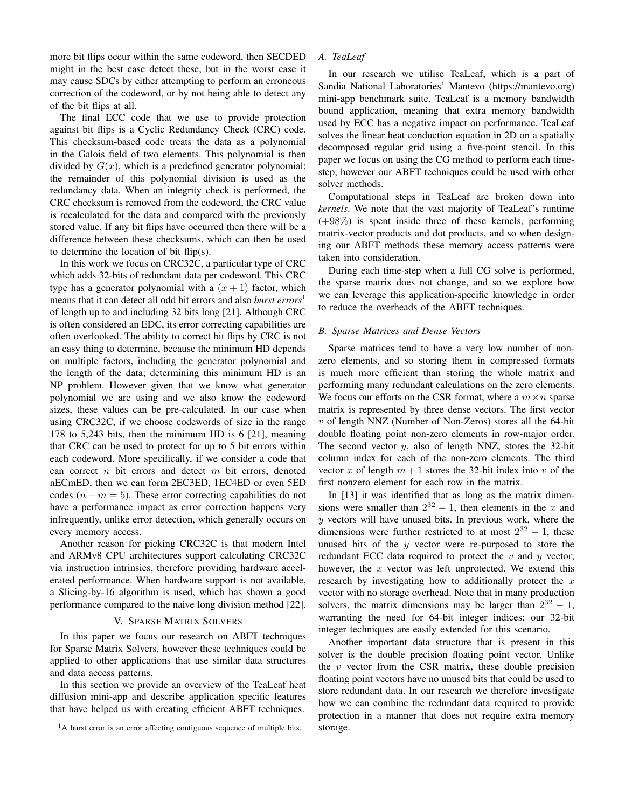more bit flips occur within the same codeword, then SECDED might in the best case detect these, but in the worst case it may cause SDCs by either attempting to perform an erroneous correction of the codeword, or by not being able to detect any of the bit flips at all.

The final ECC code that we use to provide protection against bit flips is a Cyclic Redundancy Check (CRC) code. This checksum-based code treats the data as a polynomial in the Galois field of two elements. This polynomial is then divided by  $G(x)$ , which is a predefined generator polynomial; the remainder of this polynomial division is used as the redundancy data. When an integrity check is performed, the CRC checksum is removed from the codeword, the CRC value is recalculated for the data and compared with the previously stored value. If any bit flips have occurred then there will be a difference between these checksums, which can then be used to determine the location of bit flip(s).

In this work we focus on CRC32C, a particular type of CRC which adds 32-bits of redundant data per codeword. This CRC type has a generator polynomial with a  $(x + 1)$  factor, which means that it can detect all odd bit errors and also *burst errors*<sup>1</sup> of length up to and including 32 bits long [21]. Although CRC is often considered an EDC, its error correcting capabilities are often overlooked. The ability to correct bit flips by CRC is not an easy thing to determine, because the minimum HD depends on multiple factors, including the generator polynomial and the length of the data; determining this minimum HD is an NP problem. However given that we know what generator polynomial we are using and we also know the codeword sizes, these values can be pre-calculated. In our case when using CRC32C, if we choose codewords of size in the range 178 to 5,243 bits, then the minimum HD is 6 [21], meaning that CRC can be used to protect for up to 5 bit errors within each codeword. More specifically, if we consider a code that can correct  $n$  bit errors and detect  $m$  bit errors, denoted nECmED, then we can form 2EC3ED, 1EC4ED or even 5ED codes  $(n + m = 5)$ . These error correcting capabilities do not have a performance impact as error correction happens very infrequently, unlike error detection, which generally occurs on every memory access.

Another reason for picking CRC32C is that modern Intel and ARMv8 CPU architectures support calculating CRC32C via instruction intrinsics, therefore providing hardware accelerated performance. When hardware support is not available, a Slicing-by-16 algorithm is used, which has shown a good performance compared to the naive long division method [22].

#### V. SPARSE MATRIX SOLVERS

In this paper we focus our research on ABFT techniques for Sparse Matrix Solvers, however these techniques could be applied to other applications that use similar data structures and data access patterns.

In this section we provide an overview of the TeaLeaf heat diffusion mini-app and describe application specific features that have helped us with creating efficient ABFT techniques.

#### *A. TeaLeaf*

In our research we utilise TeaLeaf, which is a part of Sandia National Laboratories' Mantevo (https://mantevo.org) mini-app benchmark suite. TeaLeaf is a memory bandwidth bound application, meaning that extra memory bandwidth used by ECC has a negative impact on performance. TeaLeaf solves the linear heat conduction equation in 2D on a spatially decomposed regular grid using a five-point stencil. In this paper we focus on using the CG method to perform each timestep, however our ABFT techniques could be used with other solver methods.

Computational steps in TeaLeaf are broken down into *kernels*. We note that the vast majority of TeaLeaf's runtime  $(+98\%)$  is spent inside three of these kernels, performing matrix-vector products and dot products, and so when designing our ABFT methods these memory access patterns were taken into consideration.

During each time-step when a full CG solve is performed, the sparse matrix does not change, and so we explore how we can leverage this application-specific knowledge in order to reduce the overheads of the ABFT techniques.

#### *B. Sparse Matrices and Dense Vectors*

Sparse matrices tend to have a very low number of nonzero elements, and so storing them in compressed formats is much more efficient than storing the whole matrix and performing many redundant calculations on the zero elements. We focus our efforts on the CSR format, where a  $m \times n$  sparse matrix is represented by three dense vectors. The first vector  $v$  of length NNZ (Number of Non-Zeros) stores all the 64-bit double floating point non-zero elements in row-major order. The second vector  $y$ , also of length NNZ, stores the 32-bit column index for each of the non-zero elements. The third vector x of length  $m + 1$  stores the 32-bit index into v of the first nonzero element for each row in the matrix.

In [13] it was identified that as long as the matrix dimensions were smaller than  $2^{32} - 1$ , then elements in the x and  $y$  vectors will have unused bits. In previous work, where the dimensions were further restricted to at most  $2^{32} - 1$ , these unused bits of the  $y$  vector were re-purposed to store the redundant ECC data required to protect the  $v$  and  $y$  vector; however, the  $x$  vector was left unprotected. We extend this research by investigating how to additionally protect the  $x$ vector with no storage overhead. Note that in many production solvers, the matrix dimensions may be larger than  $2^{32} - 1$ , warranting the need for 64-bit integer indices; our 32-bit integer techniques are easily extended for this scenario.

Another important data structure that is present in this solver is the double precision floating point vector. Unlike the  $v$  vector from the CSR matrix, these double precision floating point vectors have no unused bits that could be used to store redundant data. In our research we therefore investigate how we can combine the redundant data required to provide protection in a manner that does not require extra memory storage.

<sup>&</sup>lt;sup>1</sup>A burst error is an error affecting contiguous sequence of multiple bits.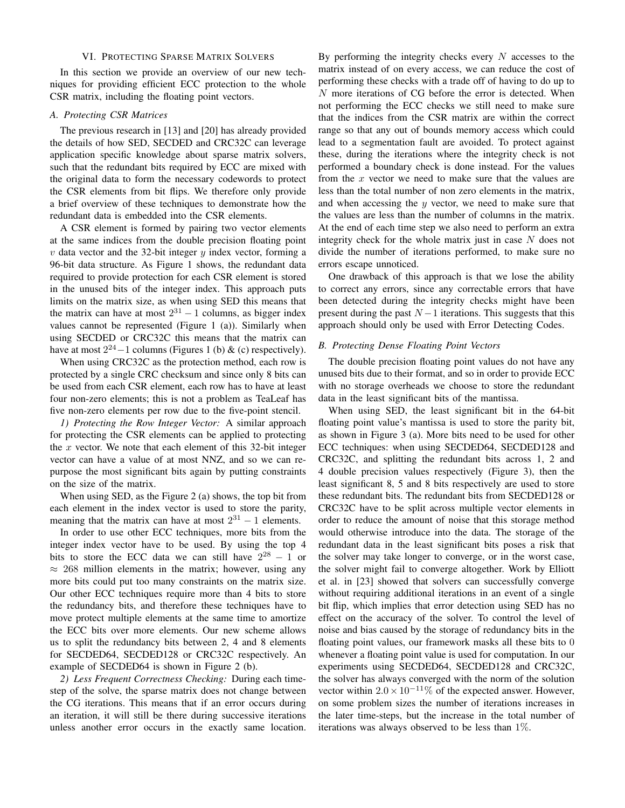## VI. PROTECTING SPARSE MATRIX SOLVERS

In this section we provide an overview of our new techniques for providing efficient ECC protection to the whole CSR matrix, including the floating point vectors.

#### *A. Protecting CSR Matrices*

The previous research in [13] and [20] has already provided the details of how SED, SECDED and CRC32C can leverage application specific knowledge about sparse matrix solvers, such that the redundant bits required by ECC are mixed with the original data to form the necessary codewords to protect the CSR elements from bit flips. We therefore only provide a brief overview of these techniques to demonstrate how the redundant data is embedded into the CSR elements.

A CSR element is formed by pairing two vector elements at the same indices from the double precision floating point  $v$  data vector and the 32-bit integer  $y$  index vector, forming a 96-bit data structure. As Figure 1 shows, the redundant data required to provide protection for each CSR element is stored in the unused bits of the integer index. This approach puts limits on the matrix size, as when using SED this means that the matrix can have at most  $2^{31} - 1$  columns, as bigger index values cannot be represented (Figure 1 (a)). Similarly when using SECDED or CRC32C this means that the matrix can have at most  $2^{24} - 1$  columns (Figures 1 (b) & (c) respectively).

When using CRC32C as the protection method, each row is protected by a single CRC checksum and since only 8 bits can be used from each CSR element, each row has to have at least four non-zero elements; this is not a problem as TeaLeaf has five non-zero elements per row due to the five-point stencil.

*1) Protecting the Row Integer Vector:* A similar approach for protecting the CSR elements can be applied to protecting the  $x$  vector. We note that each element of this 32-bit integer vector can have a value of at most NNZ, and so we can repurpose the most significant bits again by putting constraints on the size of the matrix.

When using SED, as the Figure 2 (a) shows, the top bit from each element in the index vector is used to store the parity, meaning that the matrix can have at most  $2^{31} - 1$  elements.

In order to use other ECC techniques, more bits from the integer index vector have to be used. By using the top 4 bits to store the ECC data we can still have  $2^{28} - 1$  or  $\approx$  268 million elements in the matrix; however, using any more bits could put too many constraints on the matrix size. Our other ECC techniques require more than 4 bits to store the redundancy bits, and therefore these techniques have to move protect multiple elements at the same time to amortize the ECC bits over more elements. Our new scheme allows us to split the redundancy bits between 2, 4 and 8 elements for SECDED64, SECDED128 or CRC32C respectively. An example of SECDED64 is shown in Figure 2 (b).

*2) Less Frequent Correctness Checking:* During each timestep of the solve, the sparse matrix does not change between the CG iterations. This means that if an error occurs during an iteration, it will still be there during successive iterations unless another error occurs in the exactly same location.

By performing the integrity checks every  $N$  accesses to the matrix instead of on every access, we can reduce the cost of performing these checks with a trade off of having to do up to N more iterations of CG before the error is detected. When not performing the ECC checks we still need to make sure that the indices from the CSR matrix are within the correct range so that any out of bounds memory access which could lead to a segmentation fault are avoided. To protect against these, during the iterations where the integrity check is not performed a boundary check is done instead. For the values from the  $x$  vector we need to make sure that the values are less than the total number of non zero elements in the matrix, and when accessing the  $y$  vector, we need to make sure that the values are less than the number of columns in the matrix. At the end of each time step we also need to perform an extra integrity check for the whole matrix just in case  $N$  does not divide the number of iterations performed, to make sure no errors escape unnoticed.

One drawback of this approach is that we lose the ability to correct any errors, since any correctable errors that have been detected during the integrity checks might have been present during the past  $N-1$  iterations. This suggests that this approach should only be used with Error Detecting Codes.

#### *B. Protecting Dense Floating Point Vectors*

The double precision floating point values do not have any unused bits due to their format, and so in order to provide ECC with no storage overheads we choose to store the redundant data in the least significant bits of the mantissa.

When using SED, the least significant bit in the 64-bit floating point value's mantissa is used to store the parity bit, as shown in Figure 3 (a). More bits need to be used for other ECC techniques: when using SECDED64, SECDED128 and CRC32C, and splitting the redundant bits across 1, 2 and 4 double precision values respectively (Figure 3), then the least significant 8, 5 and 8 bits respectively are used to store these redundant bits. The redundant bits from SECDED128 or CRC32C have to be split across multiple vector elements in order to reduce the amount of noise that this storage method would otherwise introduce into the data. The storage of the redundant data in the least significant bits poses a risk that the solver may take longer to converge, or in the worst case, the solver might fail to converge altogether. Work by Elliott et al. in [23] showed that solvers can successfully converge without requiring additional iterations in an event of a single bit flip, which implies that error detection using SED has no effect on the accuracy of the solver. To control the level of noise and bias caused by the storage of redundancy bits in the floating point values, our framework masks all these bits to 0 whenever a floating point value is used for computation. In our experiments using SECDED64, SECDED128 and CRC32C, the solver has always converged with the norm of the solution vector within  $2.0 \times 10^{-11}$ % of the expected answer. However, on some problem sizes the number of iterations increases in the later time-steps, but the increase in the total number of iterations was always observed to be less than 1%.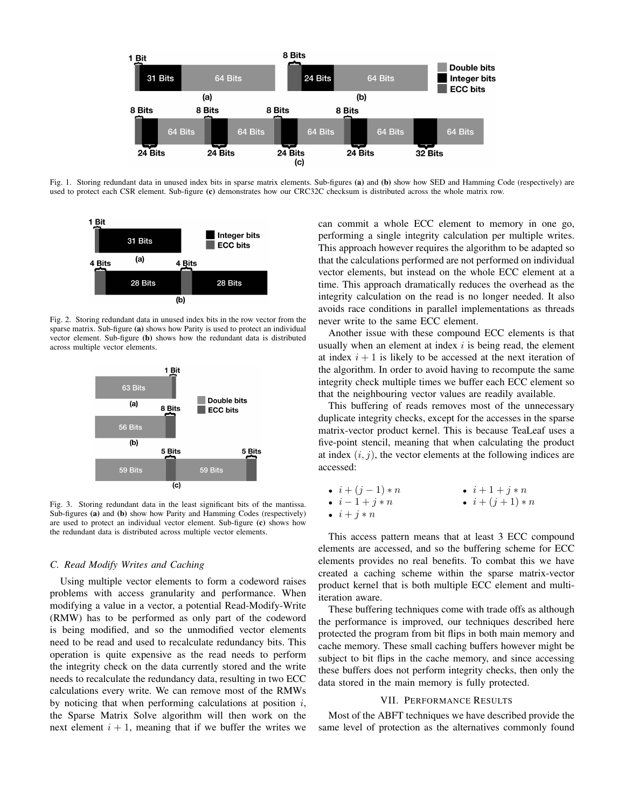

Fig. 1. Storing redundant data in unused index bits in sparse matrix elements. Sub-figures (a) and (b) show how SED and Hamming Code (respectively) are used to protect each CSR element. Sub-figure (c) demonstrates how our CRC32C checksum is distributed across the whole matrix row.



Fig. 2. Storing redundant data in unused index bits in the row vector from the sparse matrix. Sub-figure (a) shows how Parity is used to protect an individual vector element. Sub-figure (b) shows how the redundant data is distributed across multiple vector elements.



Fig. 3. Storing redundant data in the least significant bits of the mantissa. Sub-figures (a) and (b) show how Parity and Hamming Codes (respectively) are used to protect an individual vector element. Sub-figure (c) shows how the redundant data is distributed across multiple vector elements.

#### *C. Read Modify Writes and Caching*

Using multiple vector elements to form a codeword raises problems with access granularity and performance. When modifying a value in a vector, a potential Read-Modify-Write (RMW) has to be performed as only part of the codeword is being modified, and so the unmodified vector elements need to be read and used to recalculate redundancy bits. This operation is quite expensive as the read needs to perform the integrity check on the data currently stored and the write needs to recalculate the redundancy data, resulting in two ECC calculations every write. We can remove most of the RMWs by noticing that when performing calculations at position  $i$ , the Sparse Matrix Solve algorithm will then work on the next element  $i + 1$ , meaning that if we buffer the writes we

can commit a whole ECC element to memory in one go, performing a single integrity calculation per multiple writes. This approach however requires the algorithm to be adapted so that the calculations performed are not performed on individual vector elements, but instead on the whole ECC element at a time. This approach dramatically reduces the overhead as the integrity calculation on the read is no longer needed. It also avoids race conditions in parallel implementations as threads never write to the same ECC element.

Another issue with these compound ECC elements is that usually when an element at index  $i$  is being read, the element at index  $i + 1$  is likely to be accessed at the next iteration of the algorithm. In order to avoid having to recompute the same integrity check multiple times we buffer each ECC element so that the neighbouring vector values are readily available.

This buffering of reads removes most of the unnecessary duplicate integrity checks, except for the accesses in the sparse matrix-vector product kernel. This is because TeaLeaf uses a five-point stencil, meaning that when calculating the product at index  $(i, j)$ , the vector elements at the following indices are accessed:

|  | • $i + (j - 1) * n$ |  |  |  | $\bullet i+1+j*n$ |  |  |  |
|--|---------------------|--|--|--|-------------------|--|--|--|
|--|---------------------|--|--|--|-------------------|--|--|--|

```
• i - 1 + j * n• i + (j + 1) * n
```

```
• i + j * n
```
This access pattern means that at least 3 ECC compound elements are accessed, and so the buffering scheme for ECC elements provides no real benefits. To combat this we have created a caching scheme within the sparse matrix-vector product kernel that is both multiple ECC element and multiiteration aware.

These buffering techniques come with trade offs as although the performance is improved, our techniques described here protected the program from bit flips in both main memory and cache memory. These small caching buffers however might be subject to bit flips in the cache memory, and since accessing these buffers does not perform integrity checks, then only the data stored in the main memory is fully protected.

# VII. PERFORMANCE RESULTS

Most of the ABFT techniques we have described provide the same level of protection as the alternatives commonly found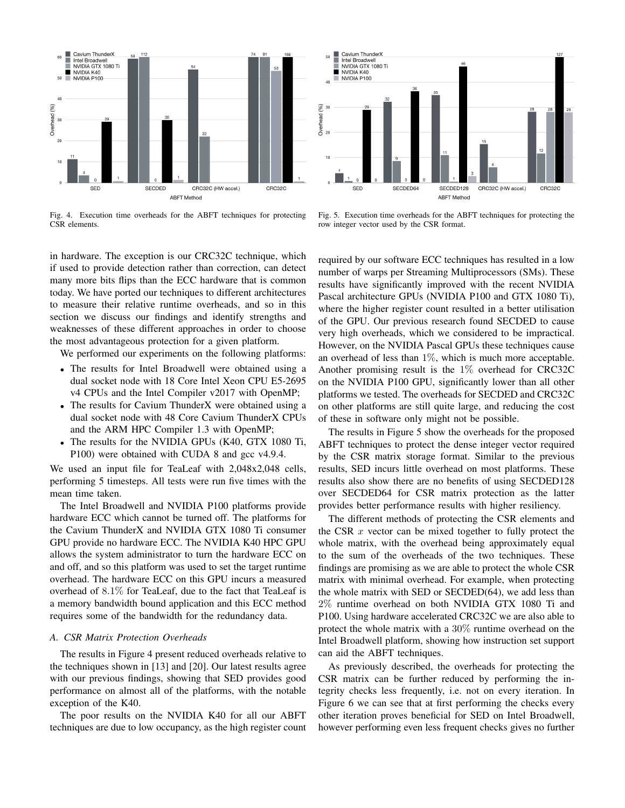

Cavium ThunderX  $50$ Intel Broadwell NVIDIA GTX 1080 Ti п Ξ NVIDIA K40 NVIDIA P100  $40$ Overhead (%) SECDED64 SECDED128 CRC32C (HW accel.) **SED** CRC32C **ABFT Method** 

Fig. 4. Execution time overheads for the ABFT techniques for protecting CSR elements.

Fig. 5. Execution time overheads for the ABFT techniques for protecting the row integer vector used by the CSR format.

in hardware. The exception is our CRC32C technique, which if used to provide detection rather than correction, can detect many more bits flips than the ECC hardware that is common today. We have ported our techniques to different architectures to measure their relative runtime overheads, and so in this section we discuss our findings and identify strengths and weaknesses of these different approaches in order to choose the most advantageous protection for a given platform.

We performed our experiments on the following platforms:

- The results for Intel Broadwell were obtained using a dual socket node with 18 Core Intel Xeon CPU E5-2695 v4 CPUs and the Intel Compiler v2017 with OpenMP;
- The results for Cavium ThunderX were obtained using a dual socket node with 48 Core Cavium ThunderX CPUs and the ARM HPC Compiler 1.3 with OpenMP;
- The results for the NVIDIA GPUs (K40, GTX 1080 Ti, P100) were obtained with CUDA 8 and gcc v4.9.4.

We used an input file for TeaLeaf with 2,048x2,048 cells, performing 5 timesteps. All tests were run five times with the mean time taken.

The Intel Broadwell and NVIDIA P100 platforms provide hardware ECC which cannot be turned off. The platforms for the Cavium ThunderX and NVIDIA GTX 1080 Ti consumer GPU provide no hardware ECC. The NVIDIA K40 HPC GPU allows the system administrator to turn the hardware ECC on and off, and so this platform was used to set the target runtime overhead. The hardware ECC on this GPU incurs a measured overhead of 8.1% for TeaLeaf, due to the fact that TeaLeaf is a memory bandwidth bound application and this ECC method requires some of the bandwidth for the redundancy data.

# *A. CSR Matrix Protection Overheads*

The results in Figure 4 present reduced overheads relative to the techniques shown in [13] and [20]. Our latest results agree with our previous findings, showing that SED provides good performance on almost all of the platforms, with the notable exception of the K40.

The poor results on the NVIDIA K40 for all our ABFT techniques are due to low occupancy, as the high register count required by our software ECC techniques has resulted in a low number of warps per Streaming Multiprocessors (SMs). These results have significantly improved with the recent NVIDIA Pascal architecture GPUs (NVIDIA P100 and GTX 1080 Ti), where the higher register count resulted in a better utilisation of the GPU. Our previous research found SECDED to cause very high overheads, which we considered to be impractical. However, on the NVIDIA Pascal GPUs these techniques cause an overhead of less than  $1\%$ , which is much more acceptable. Another promising result is the 1% overhead for CRC32C on the NVIDIA P100 GPU, significantly lower than all other platforms we tested. The overheads for SECDED and CRC32C on other platforms are still quite large, and reducing the cost of these in software only might not be possible.

The results in Figure 5 show the overheads for the proposed ABFT techniques to protect the dense integer vector required by the CSR matrix storage format. Similar to the previous results, SED incurs little overhead on most platforms. These results also show there are no benefits of using SECDED128 over SECDED64 for CSR matrix protection as the latter provides better performance results with higher resiliency.

The different methods of protecting the CSR elements and the CSR  $x$  vector can be mixed together to fully protect the whole matrix, with the overhead being approximately equal to the sum of the overheads of the two techniques. These findings are promising as we are able to protect the whole CSR matrix with minimal overhead. For example, when protecting the whole matrix with SED or SECDED(64), we add less than 2% runtime overhead on both NVIDIA GTX 1080 Ti and P100. Using hardware accelerated CRC32C we are also able to protect the whole matrix with a 30% runtime overhead on the Intel Broadwell platform, showing how instruction set support can aid the ABFT techniques.

As previously described, the overheads for protecting the CSR matrix can be further reduced by performing the integrity checks less frequently, i.e. not on every iteration. In Figure 6 we can see that at first performing the checks every other iteration proves beneficial for SED on Intel Broadwell, however performing even less frequent checks gives no further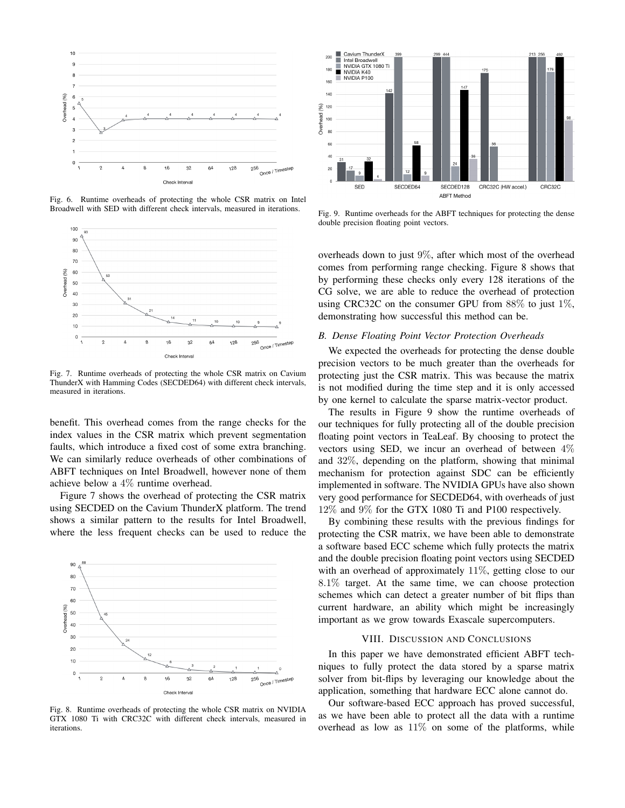

Fig. 6. Runtime overheads of protecting the whole CSR matrix on Intel Broadwell with SED with different check intervals, measured in iterations.



Fig. 7. Runtime overheads of protecting the whole CSR matrix on Cavium ThunderX with Hamming Codes (SECDED64) with different check intervals, measured in iterations.

benefit. This overhead comes from the range checks for the index values in the CSR matrix which prevent segmentation faults, which introduce a fixed cost of some extra branching. We can similarly reduce overheads of other combinations of ABFT techniques on Intel Broadwell, however none of them achieve below a 4% runtime overhead.

Figure 7 shows the overhead of protecting the CSR matrix using SECDED on the Cavium ThunderX platform. The trend shows a similar pattern to the results for Intel Broadwell, where the less frequent checks can be used to reduce the



Fig. 8. Runtime overheads of protecting the whole CSR matrix on NVIDIA GTX 1080 Ti with CRC32C with different check intervals, measured in iterations.



Fig. 9. Runtime overheads for the ABFT techniques for protecting the dense double precision floating point vectors.

overheads down to just 9%, after which most of the overhead comes from performing range checking. Figure 8 shows that by performing these checks only every 128 iterations of the CG solve, we are able to reduce the overhead of protection using CRC32C on the consumer GPU from  $88\%$  to just  $1\%$ , demonstrating how successful this method can be.

## *B. Dense Floating Point Vector Protection Overheads*

We expected the overheads for protecting the dense double precision vectors to be much greater than the overheads for protecting just the CSR matrix. This was because the matrix is not modified during the time step and it is only accessed by one kernel to calculate the sparse matrix-vector product.

The results in Figure 9 show the runtime overheads of our techniques for fully protecting all of the double precision floating point vectors in TeaLeaf. By choosing to protect the vectors using SED, we incur an overhead of between 4% and 32%, depending on the platform, showing that minimal mechanism for protection against SDC can be efficiently implemented in software. The NVIDIA GPUs have also shown very good performance for SECDED64, with overheads of just 12% and 9% for the GTX 1080 Ti and P100 respectively.

By combining these results with the previous findings for protecting the CSR matrix, we have been able to demonstrate a software based ECC scheme which fully protects the matrix and the double precision floating point vectors using SECDED with an overhead of approximately 11%, getting close to our 8.1% target. At the same time, we can choose protection schemes which can detect a greater number of bit flips than current hardware, an ability which might be increasingly important as we grow towards Exascale supercomputers.

#### VIII. DISCUSSION AND CONCLUSIONS

In this paper we have demonstrated efficient ABFT techniques to fully protect the data stored by a sparse matrix solver from bit-flips by leveraging our knowledge about the application, something that hardware ECC alone cannot do.

Our software-based ECC approach has proved successful, as we have been able to protect all the data with a runtime overhead as low as  $11\%$  on some of the platforms, while